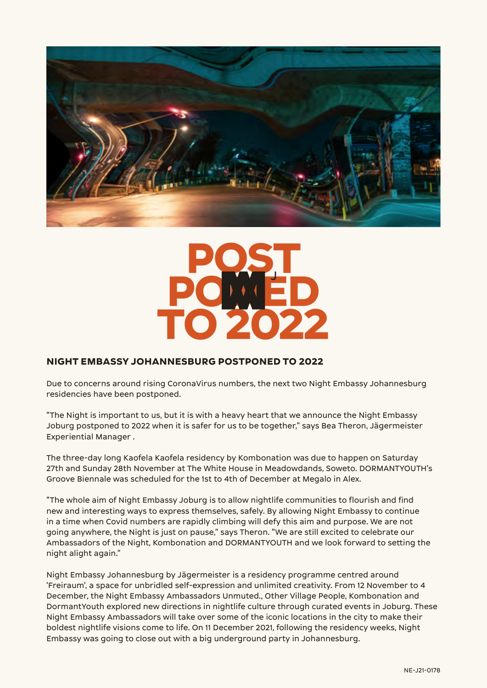



### **NIGHT EMBASSY JOHANNESBURG POSTPONED TO 2022**

Due to concerns around rising CoronaVirus numbers, the next two Night Embassy Johannesburg residencies have been postponed.

"The Night is important to us, but it is with a heavy heart that we announce the Night Embassy Joburg postponed to 2022 when it is safer for us to be together," says Bea Theron, Jägermeister Experiential Manager .

The three-day long Kaofela Kaofela residency by Kombonation was due to happen on Saturday 27th and Sunday 28th November at The White House in Meadowdands, Soweto. DORMANTYOUTH's Groove Biennale was scheduled for the 1st to 4th of December at Megalo in Alex.

"The whole aim of Night Embassy Joburg is to allow nightlife communities to flourish and find new and interesting ways to express themselves, safely. By allowing Night Embassy to continue in a time when Covid numbers are rapidly climbing will defy this aim and purpose. We are not going anywhere, the Night is just on pause," says Theron. "We are still excited to celebrate our Ambassadors of the Night, Kombonation and DORMANTYOUTH and we look forward to setting the night alight again."

Night Embassy Johannesburg by Jägermeister is a residency programme centred around 'Freiraum', a space for unbridled self-expression and unlimited creativity. From 12 November to 4 December, the Night Embassy Ambassadors Unmuted., Other Village People, Kombonation and DormantYouth explored new directions in nightlife culture through curated events in Joburg. These Night Embassy Ambassadors will take over some of the iconic locations in the city to make their boldest nightlife visions come to life. On 11 December 2021, following the residency weeks, Night Embassy was going to close out with a big underground party in Johannesburg.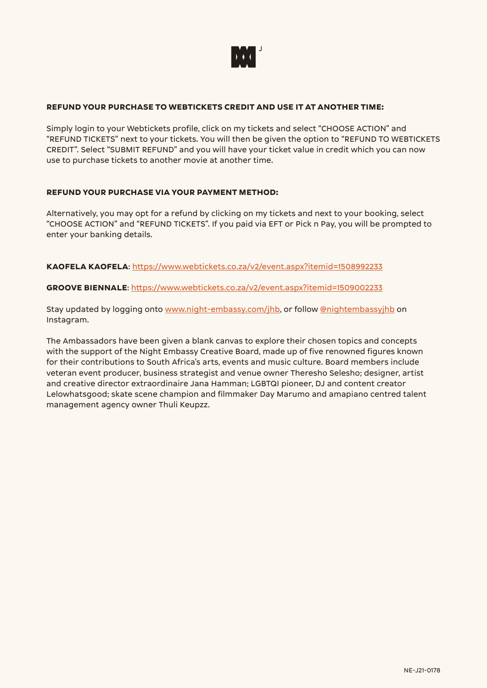

#### **REFUND YOUR PURCHASE TO WEBTICKETS CREDIT AND USE IT AT ANOTHER TIME:**

Simply login to your Webtickets profile, click on my tickets and select "CHOOSE ACTION" and "REFUND TICKETS" next to your tickets. You will then be given the option to "REFUND TO WEBTICKETS CREDIT". Select "SUBMIT REFUND" and you will have your ticket value in credit which you can now use to purchase tickets to another movie at another time.

#### **REFUND YOUR PURCHASE VIA YOUR PAYMENT METHOD:**

Alternatively, you may opt for a refund by clicking on my tickets and next to your booking, select "CHOOSE ACTION" and "REFUND TICKETS". If you paid via EFT or Pick n Pay, you will be prompted to enter your banking details.

**KAOFELA KAOFELA**: [https://www.webtickets.co.za/v2/event.aspx?itemid=1508992233](https://www.webtickets.co.za/v2/event.aspx?itemid=1508992233 )

**GROOVE BIENNALE**: [https://www.webtickets.co.za/v2/event.aspx?itemid=1509002233](https://www.webtickets.co.za/v2/event.aspx?itemid=1509002233 )

Stay updated by logging onto [www.night-embassy.com/jhb](http://www.night-embassy.com/jhb), or follow [@nightembassyjhb](https://www.instagram.com/nightembassyjhb/) on Instagram.

The Ambassadors have been given a blank canvas to explore their chosen topics and concepts with the support of the Night Embassy Creative Board, made up of five renowned figures known for their contributions to South Africa's arts, events and music culture. Board members include veteran event producer, business strategist and venue owner Theresho Selesho; designer, artist and creative director extraordinaire Jana Hamman; LGBTQI pioneer, DJ and content creator Lelowhatsgood; skate scene champion and filmmaker Day Marumo and amapiano centred talent management agency owner Thuli Keupzz.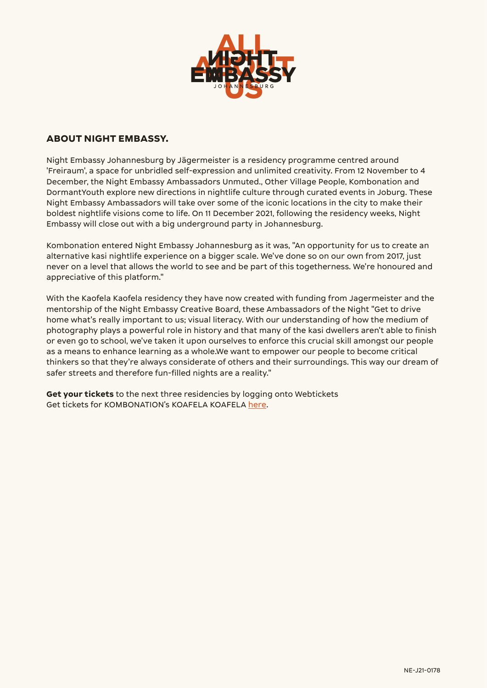

### **ABOUT NIGHT EMBASSY.**

Night Embassy Johannesburg by Jägermeister is a residency programme centred around 'Freiraum', a space for unbridled self-expression and unlimited creativity. From 12 November to 4 December, the Night Embassy Ambassadors Unmuted., Other Village People, Kombonation and DormantYouth explore new directions in nightlife culture through curated events in Joburg. These Night Embassy Ambassadors will take over some of the iconic locations in the city to make their boldest nightlife visions come to life. On 11 December 2021, following the residency weeks, Night Embassy will close out with a big underground party in Johannesburg.

Kombonation entered Night Embassy Johannesburg as it was, "An opportunity for us to create an alternative kasi nightlife experience on a bigger scale. We've done so on our own from 2017, just never on a level that allows the world to see and be part of this togetherness. We're honoured and appreciative of this platform."

With the Kaofela Kaofela residency they have now created with funding from Jagermeister and the mentorship of the Night Embassy Creative Board, these Ambassadors of the Night "Get to drive home what's really important to us; visual literacy. With our understanding of how the medium of photography plays a powerful role in history and that many of the kasi dwellers aren't able to finish or even go to school, we've taken it upon ourselves to enforce this crucial skill amongst our people as a means to enhance learning as a whole.We want to empower our people to become critical thinkers so that they're always considerate of others and their surroundings. This way our dream of safer streets and therefore fun-filled nights are a reality."

**Get your tickets** to the next three residencies by logging onto Webtickets Get tickets for KOMBONATION's KOAFELA KOAFELA [here.](https://bit.ly/30ygFEc)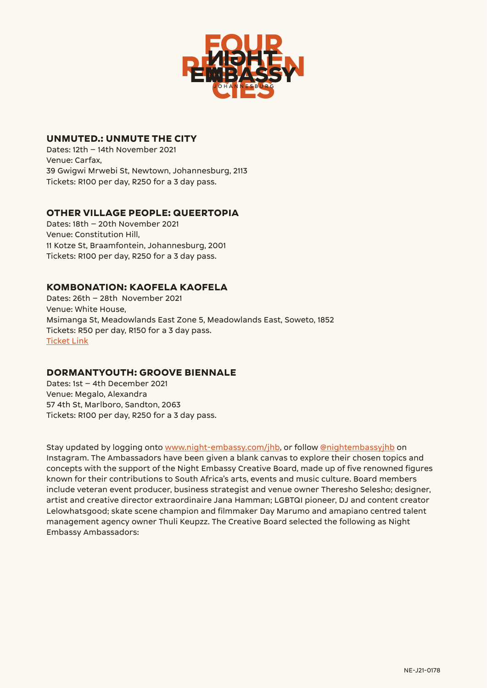

### **UNMUTED.: UNMUTE THE CITY**

Dates: 12th – 14th November 2021 Venue: Carfax, 39 Gwigwi Mrwebi St, Newtown, Johannesburg, 2113 Tickets: R100 per day, R250 for a 3 day pass.

### **OTHER VILLAGE PEOPLE: QUEERTOPIA**

Dates: 18th – 20th November 2021 Venue: Constitution Hill, 11 Kotze St, Braamfontein, Johannesburg, 2001 Tickets: R100 per day, R250 for a 3 day pass.

### **KOMBONATION: KAOFELA KAOFELA**

Dates: 26th – 28th November 2021 Venue: White House, Msimanga St, Meadowlands East Zone 5, Meadowlands East, Soweto, 1852 Tickets: R50 per day, R150 for a 3 day pass. [Ticket Link](https://bit.ly/30ygFEc)

### **DORMANTYOUTH: GROOVE BIENNALE**

Dates: 1st – 4th December 2021 Venue: Megalo, Alexandra 57 4th St, Marlboro, Sandton, 2063 Tickets: R100 per day, R250 for a 3 day pass.

Stay updated by logging onto [www.night-embassy.com/jhb](https://night-embassy.com/jhb/), or follow [@nightembassyjhb](https://www.instagram.com/nightembassyjhb/) on Instagram. The Ambassadors have been given a blank canvas to explore their chosen topics and concepts with the support of the Night Embassy Creative Board, made up of five renowned figures known for their contributions to South Africa's arts, events and music culture. Board members include veteran event producer, business strategist and venue owner Theresho Selesho; designer, artist and creative director extraordinaire Jana Hamman; LGBTQI pioneer, DJ and content creator Lelowhatsgood; skate scene champion and filmmaker Day Marumo and amapiano centred talent management agency owner Thuli Keupzz. The Creative Board selected the following as Night Embassy Ambassadors: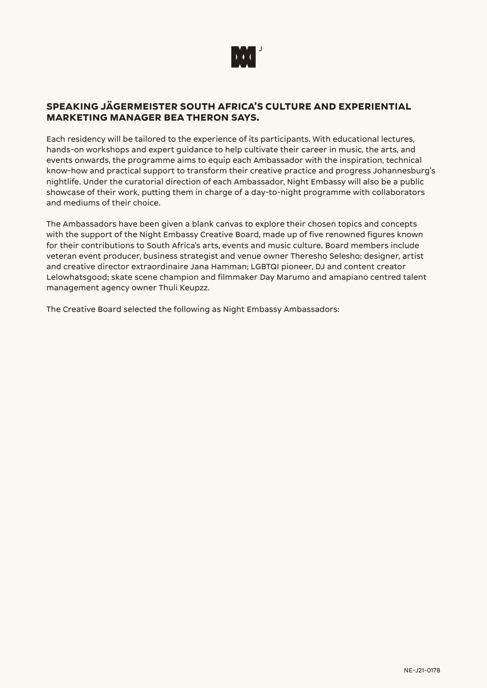

### **SPEAKING JÄGERMEISTER SOUTH AFRICA'S CULTURE AND EXPERIENTIAL MARKETING MANAGER BEA THERON SAYS.**

Each residency will be tailored to the experience of its participants. With educational lectures, hands-on workshops and expert guidance to help cultivate their career in music, the arts, and events onwards, the programme aims to equip each Ambassador with the inspiration, technical know-how and practical support to transform their creative practice and progress Johannesburg's nightlife. Under the curatorial direction of each Ambassador, Night Embassy will also be a public showcase of their work, putting them in charge of a day-to-night programme with collaborators and mediums of their choice.

The Ambassadors have been given a blank canvas to explore their chosen topics and concepts with the support of the Night Embassy Creative Board, made up of five renowned figures known for their contributions to South Africa's arts, events and music culture. Board members include veteran event producer, business strategist and venue owner Theresho Selesho; designer, artist and creative director extraordinaire Jana Hamman; LGBTQI pioneer, DJ and content creator Lelowhatsgood; skate scene champion and filmmaker Day Marumo and amapiano centred talent management agency owner Thuli Keupzz.

The Creative Board selected the following as Night Embassy Ambassadors: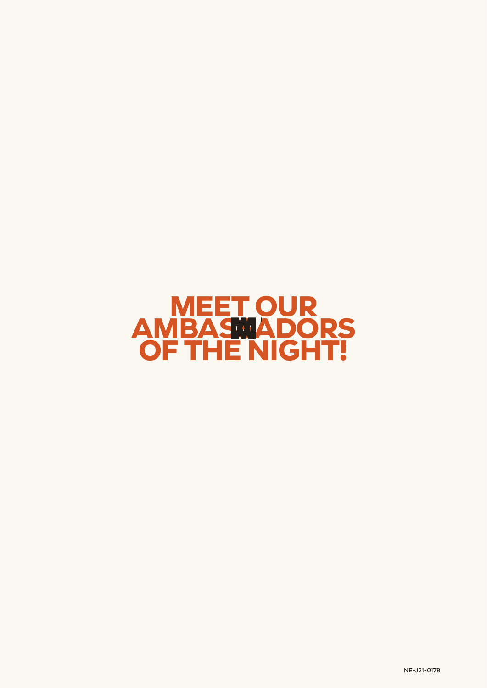# **MEET OUR AMBASMADORS OF THE NIGHT!**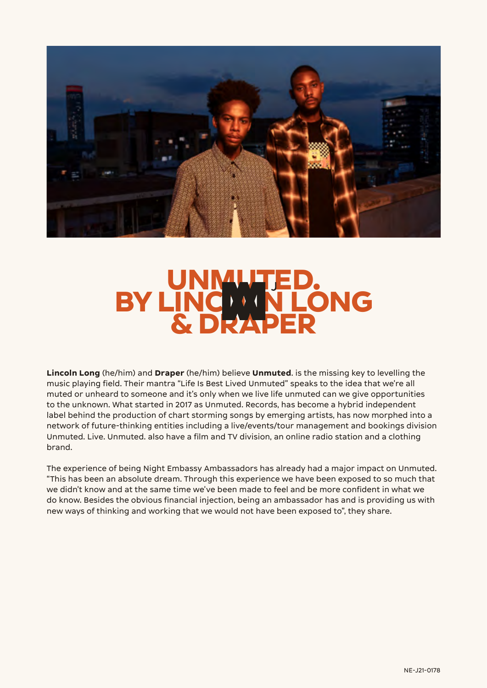

# **UNMUTED.** BY LINCOLN **NEONG** UNMUTED.<br>INCLAN LONG<br>& DRAPER

**Lincoln Long** (he/him) and **Draper** (he/him) believe **Unmuted**. is the missing key to levelling the music playing field. Their mantra "Life Is Best Lived Unmuted" speaks to the idea that we're all muted or unheard to someone and it's only when we live life unmuted can we give opportunities to the unknown. What started in 2017 as Unmuted. Records, has become a hybrid independent label behind the production of chart storming songs by emerging artists, has now morphed into a network of future-thinking entities including a live/events/tour management and bookings division Unmuted. Live. Unmuted. also have a film and TV division, an online radio station and a clothing brand.

The experience of being Night Embassy Ambassadors has already had a major impact on Unmuted. "This has been an absolute dream. Through this experience we have been exposed to so much that we didn't know and at the same time we've been made to feel and be more confident in what we do know. Besides the obvious financial injection, being an ambassador has and is providing us with new ways of thinking and working that we would not have been exposed to", they share.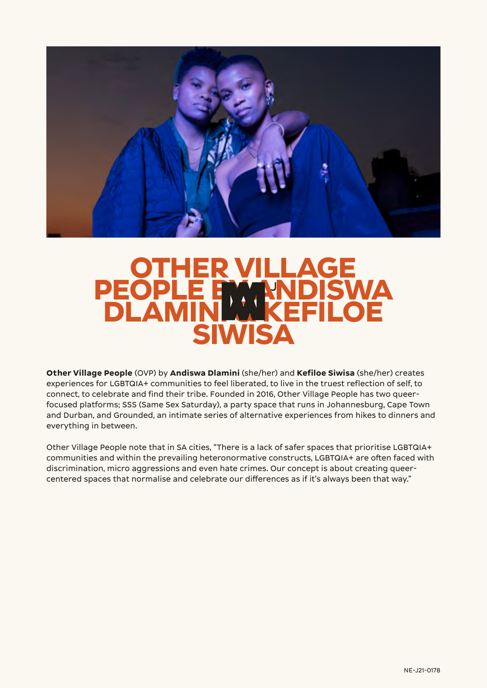

## **OTHER VILLAGE** PEOPLE BWWDISWA **PEOPLE BWWNDISWA**<br>DLAMINI WKFFII OF **SIWISA**

**Other Village People** (OVP) by **Andiswa Dlamini** (she/her) and **Kefiloe Siwisa** (she/her) creates experiences for LGBTQIA+ communities to feel liberated, to live in the truest reflection of self, to connect, to celebrate and find their tribe. Founded in 2016, Other Village People has two queerfocused platforms; SSS (Same Sex Saturday), a party space that runs in Johannesburg, Cape Town and Durban, and Grounded, an intimate series of alternative experiences from hikes to dinners and everything in between.

Other Village People note that in SA cities, "There is a lack of safer spaces that prioritise LGBTQIA+ communities and within the prevailing heteronormative constructs, LGBTQIA+ are often faced with discrimination, micro aggressions and even hate crimes. Our concept is about creating queercentered spaces that normalise and celebrate our differences as if it's always been that way."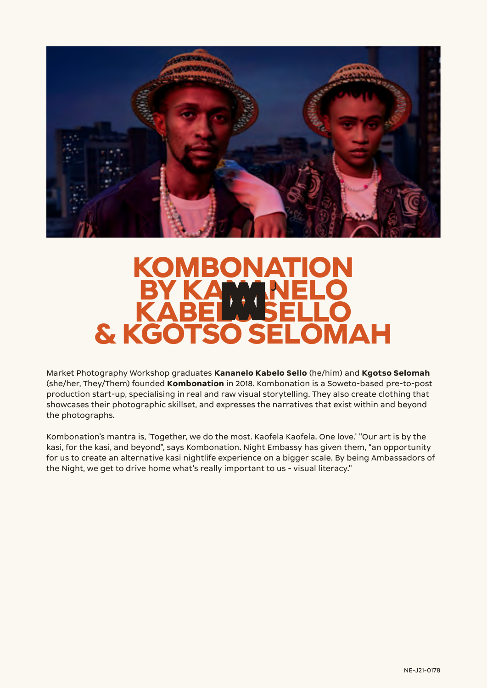

## **KOMBONATION BY KANANELO KABELWSELLO & KGOTSO SELOMAH**

Market Photography Workshop graduates **Kananelo Kabelo Sello** (he/him) and **Kgotso Selomah** (she/her, They/Them) founded **Kombonation** in 2018. Kombonation is a Soweto-based pre-to-post production start-up, specialising in real and raw visual storytelling. They also create clothing that showcases their photographic skillset, and expresses the narratives that exist within and beyond the photographs.

Kombonation's mantra is, 'Together, we do the most. Kaofela Kaofela. One love.' "Our art is by the kasi, for the kasi, and beyond", says Kombonation. Night Embassy has given them, "an opportunity for us to create an alternative kasi nightlife experience on a bigger scale. By being Ambassadors of the Night, we get to drive home what's really important to us - visual literacy."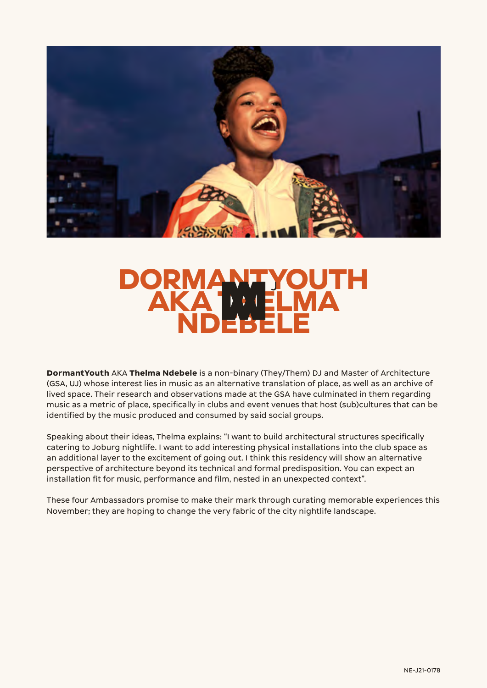

# **DOR** AKA ' **NDEBELE**

**DormantYouth** AKA **Thelma Ndebele** is a non-binary (They/Them) DJ and Master of Architecture (GSA, UJ) whose interest lies in music as an alternative translation of place, as well as an archive of lived space. Their research and observations made at the GSA have culminated in them regarding music as a metric of place, specifically in clubs and event venues that host (sub)cultures that can be identified by the music produced and consumed by said social groups.

Speaking about their ideas, Thelma explains: "I want to build architectural structures specifically catering to Joburg nightlife. I want to add interesting physical installations into the club space as an additional layer to the excitement of going out. I think this residency will show an alternative perspective of architecture beyond its technical and formal predisposition. You can expect an installation fit for music, performance and film, nested in an unexpected context".

These four Ambassadors promise to make their mark through curating memorable experiences this November; they are hoping to change the very fabric of the city nightlife landscape.